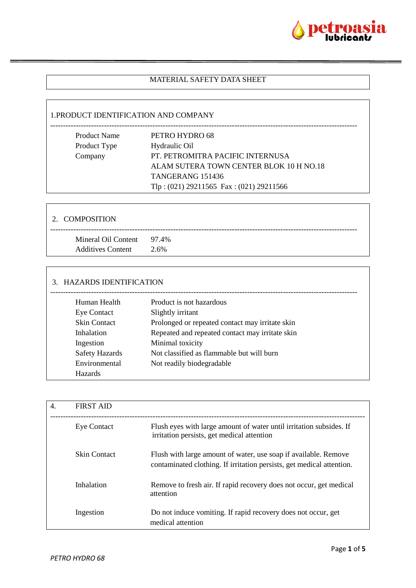

### MATERIAL SAFETY DATA SHEET

### 1.PRODUCT IDENTIFICATION AND COMPANY

| <b>Product Name</b> | PETRO HYDRO 68                              |
|---------------------|---------------------------------------------|
| Product Type        | Hydraulic Oil                               |
| Company             | PT. PETROMITRA PACIFIC INTERNUSA            |
|                     | ALAM SUTERA TOWN CENTER BLOK 10 H NO.18     |
|                     | TANGERANG 151436                            |
|                     | Tlp: $(021)$ 29211565 Fax: $(021)$ 29211566 |
|                     |                                             |

| 2. COMPOSITION                                        |      |
|-------------------------------------------------------|------|
| Mineral Oil Content 97.4%<br><b>Additives Content</b> | 2.6% |

### 3. HAZARDS IDENTIFICATION

| Human Health          | Product is not hazardous                        |
|-----------------------|-------------------------------------------------|
| <b>Eye Contact</b>    | Slightly irritant                               |
| <b>Skin Contact</b>   | Prolonged or repeated contact may irritate skin |
| Inhalation            | Repeated and repeated contact may irritate skin |
| Ingestion             | Minimal toxicity                                |
| <b>Safety Hazards</b> | Not classified as flammable but will burn       |
| Environmental         | Not readily biodegradable                       |
| <b>Hazards</b>        |                                                 |
|                       |                                                 |

| 4. | <b>FIRST AID</b>    |                                                                                                                                          |
|----|---------------------|------------------------------------------------------------------------------------------------------------------------------------------|
|    | <b>Eye Contact</b>  | Flush eyes with large amount of water until irritation subsides. If<br>irritation persists, get medical attention                        |
|    | <b>Skin Contact</b> | Flush with large amount of water, use soap if available. Remove<br>contaminated clothing. If irritation persists, get medical attention. |
|    | Inhalation          | Remove to fresh air. If rapid recovery does not occur, get medical<br>attention                                                          |
|    | Ingestion           | Do not induce vomiting. If rapid recovery does not occur, get<br>medical attention                                                       |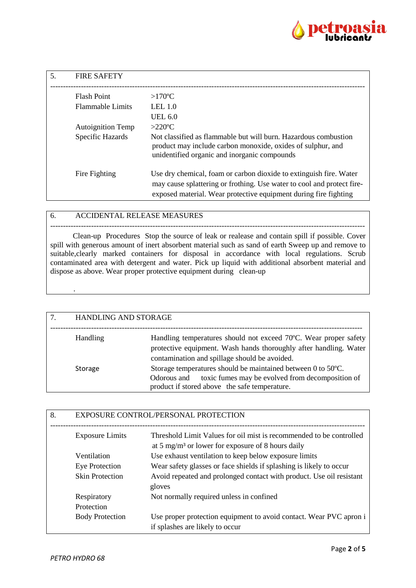

| 5. | <b>FIRE SAFETY</b>       |                                                                                                                                                                                                                  |
|----|--------------------------|------------------------------------------------------------------------------------------------------------------------------------------------------------------------------------------------------------------|
|    | <b>Flash Point</b>       | $>170^{\circ}C$                                                                                                                                                                                                  |
|    | <b>Flammable Limits</b>  | LEL $1.0$                                                                                                                                                                                                        |
|    |                          | UEL 6.0                                                                                                                                                                                                          |
|    | <b>Autoignition Temp</b> | $>220$ °C                                                                                                                                                                                                        |
|    | Specific Hazards         | Not classified as flammable but will burn. Hazardous combustion<br>product may include carbon monoxide, oxides of sulphur, and<br>unidentified organic and inorganic compounds                                   |
|    | Fire Fighting            | Use dry chemical, foam or carbon dioxide to extinguish fire. Water<br>may cause splattering or frothing. Use water to cool and protect fire-<br>exposed material. Wear protective equipment during fire fighting |

#### 6. ACCIDENTAL RELEASE MEASURES

--------------------------------------------------------------------------------------------------------------------------- Clean-up Procedures Stop the source of leak or realease and contain spill if possible. Cover spill with generous amount of inert absorbent material such as sand of earth Sweep up and remove to suitable,clearly marked containers for disposal in accordance with local regulations. Scrub contaminated area with detergent and water. Pick up liquid with additional absorbent material and dispose as above. Wear proper protective equipment during clean-up

| 7. | HANDLING AND STORAGE |                                                                                                                                                                                        |  |
|----|----------------------|----------------------------------------------------------------------------------------------------------------------------------------------------------------------------------------|--|
|    | Handling             | Handling temperatures should not exceed 70°C. Wear proper safety<br>protective equipment. Wash hands thoroughly after handling. Water<br>contamination and spillage should be avoided. |  |
|    | Storage              | Storage temperatures should be maintained between 0 to 50°C.<br>toxic fumes may be evolved from decomposition of<br>Odorous and<br>product if stored above the safe temperature.       |  |

| 8. | EXPOSURE CONTROL/PERSONAL PROTECTION |                                                                                                                                      |
|----|--------------------------------------|--------------------------------------------------------------------------------------------------------------------------------------|
|    | <b>Exposure Limits</b>               | Threshold Limit Values for oil mist is recommended to be controlled<br>at 5 mg/m <sup>3</sup> or lower for exposure of 8 hours daily |
|    | Ventilation                          | Use exhaust ventilation to keep below exposure limits                                                                                |
|    | <b>Eye Protection</b>                | Wear safety glasses or face shields if splashing is likely to occur                                                                  |
|    | <b>Skin Protection</b>               | Avoid repeated and prolonged contact with product. Use oil resistant<br>gloves                                                       |
|    | Respiratory                          | Not normally required unless in confined                                                                                             |
|    | Protection                           |                                                                                                                                      |
|    | <b>Body Protection</b>               | Use proper protection equipment to avoid contact. Wear PVC apron i                                                                   |
|    |                                      | if splashes are likely to occur                                                                                                      |

.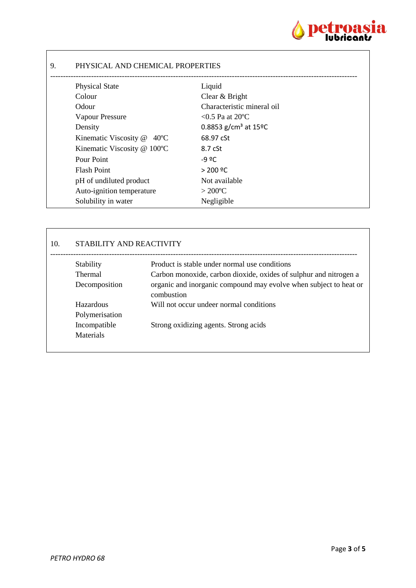

# 9. PHYSICAL AND CHEMICAL PROPERTIES

| <b>Physical State</b>                   | Liquid                                          |
|-----------------------------------------|-------------------------------------------------|
| Colour                                  | Clear & Bright                                  |
| Odour                                   | Characteristic mineral oil                      |
| Vapour Pressure                         | $< 0.5$ Pa at 20 °C                             |
| Density                                 | $0.8853$ g/cm <sup>3</sup> at 15 <sup>o</sup> C |
| Kinematic Viscosity @<br>$40^{\circ}$ C | 68.97 cSt                                       |
| Kinematic Viscosity @ 100°C             | 8.7 <sub>cSt</sub>                              |
| Pour Point                              | $-9°$                                           |
| <b>Flash Point</b>                      | > 200 °C                                        |
| pH of undiluted product                 | Not available                                   |
| Auto-ignition temperature               | $>200^{\circ}$ C                                |
| Solubility in water                     | Negligible                                      |
|                                         |                                                 |

# 10. STABILITY AND REACTIVITY

| Stability        | Product is stable under normal use conditions                                   |
|------------------|---------------------------------------------------------------------------------|
| <b>Thermal</b>   | Carbon monoxide, carbon dioxide, oxides of sulphur and nitrogen a               |
| Decomposition    | organic and inorganic compound may evolve when subject to heat or<br>combustion |
| Hazardous        | Will not occur undeer normal conditions                                         |
| Polymerisation   |                                                                                 |
| Incompatible     | Strong oxidizing agents. Strong acids                                           |
| <b>Materials</b> |                                                                                 |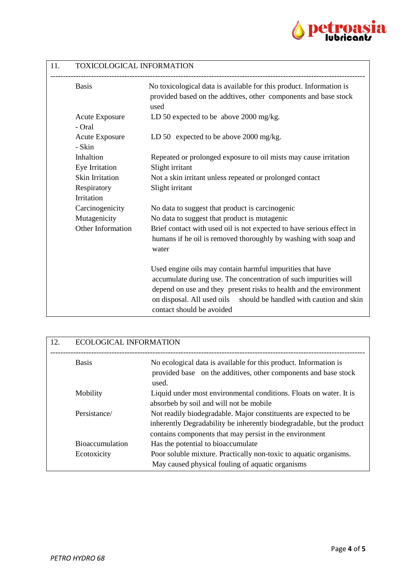

# 11. TOXICOLOGICAL INFORMATION

| <b>Basis</b> |                       | No toxicological data is available for this product. Information is<br>provided based on the addtives, other components and base stock<br>used                                                                                                                                                         |
|--------------|-----------------------|--------------------------------------------------------------------------------------------------------------------------------------------------------------------------------------------------------------------------------------------------------------------------------------------------------|
| - Oral       | <b>Acute Exposure</b> | LD 50 expected to be above $2000 \text{ mg/kg}$ .                                                                                                                                                                                                                                                      |
| - Skin       | <b>Acute Exposure</b> | LD 50 expected to be above $2000 \text{ mg/kg}$ .                                                                                                                                                                                                                                                      |
| Inhaltion    | Eye Irritation        | Repeated or prolonged exposure to oil mists may cause irritation<br>Slight irritant                                                                                                                                                                                                                    |
|              | Skin Irritation       | Not a skin irritant unless repeated or prolonged contact                                                                                                                                                                                                                                               |
| Respiratory  |                       | Slight irritant                                                                                                                                                                                                                                                                                        |
| Irritation   |                       |                                                                                                                                                                                                                                                                                                        |
|              | Carcinogenicity       | No data to suggest that product is carcinogenic                                                                                                                                                                                                                                                        |
|              | Mutagenicity          | No data to suggest that product is mutagenic                                                                                                                                                                                                                                                           |
|              | Other Information     | Brief contact with used oil is not expected to have serious effect in                                                                                                                                                                                                                                  |
|              |                       | humans if he oil is removed thoroughly by washing with soap and<br>water                                                                                                                                                                                                                               |
|              |                       | Used engine oils may contain harmful impurities that have<br>accumulate during use. The concentration of such impurities will<br>depend on use and they present risks to health and the environment<br>on disposal. All used oils should be handled with caution and skin<br>contact should be avoided |

| 12. | <b>ECOLOGICAL INFORMATION</b> |                                                                                                                                                                                                      |  |
|-----|-------------------------------|------------------------------------------------------------------------------------------------------------------------------------------------------------------------------------------------------|--|
|     | <b>Basis</b>                  | No ecological data is available for this product. Information is<br>provided base on the additives, other components and base stock<br>used.                                                         |  |
|     | Mobility                      | Liquid under most environmental conditions. Floats on water. It is<br>absorbeb by soil and will not be mobile                                                                                        |  |
|     | Persistance/                  | Not readily biodegradable. Major constituents are expected to be<br>inherently Degradability be inherently biodegradable, but the product<br>contains components that may persist in the environment |  |
|     | <b>Bioaccumulation</b>        | Has the potential to bioaccumulate                                                                                                                                                                   |  |
|     | Ecotoxicity                   | Poor soluble mixture. Practically non-toxic to aquatic organisms.<br>May caused physical fouling of aquatic organisms                                                                                |  |